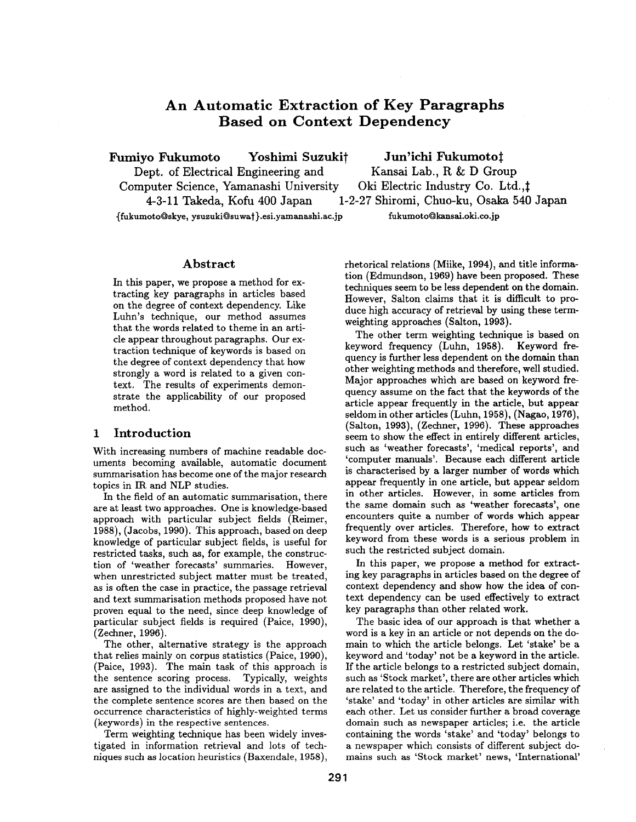# **An Automatic Extraction of Key Paragraphs Based on Context Dependency**

**Fumiyo Fukumoto Yoshimi Suzukit Jun'ichi Fukumoto:~** 

**Dept. of Electrical Engineering and Kansai Lab., R & D Group** 

Computer Science, Yamanashi University Oki Electric Industry Co. Ltd., ! 4-3-11 Takeda, Kofu 400 Japan 1-2-27 Shiromi, Chuo-ku, Osaka 540 Japan

**~fukumoto~skye,** ysuzuki~suwa~ }.esi.yamanashi.ac.jp fukumoto~kansai.oki.co.jp

### **Abstract**

In this paper, we propose a method for extracting key paragraphs in articles based on the degree of context dependency. Like Luhn's technique, our method assumes that the words related to theme in an article appear throughout paragraphs. Our extraction technique of keywords is based on the degree of context dependency that how strongly a word is related to a given context. The results of experiments demonstrate the applicability of our proposed method.

# 1 **Introduction**

With increasing numbers of machine readable documents becoming available, automatic document summarisation has become one of the major research topics in IR and NLP studies.

In the field of an automatic summarisation, there are at least two approaches. One is knowledge-based approach with particular subject fields (Reimer, 1988), (Jacobs, 1990). This approach, based on deep knowledge of particular subject fields, is useful for restricted tasks, such as, for example, the construction of 'weather forecasts' summaries. However, when unrestricted subject matter must be treated, as is often the case in practice, the passage retrieval and text summarisation methods proposed have not proven equal to the need, since deep knowledge of particular subject fields is required (Paice, 1990), (Zechner, 1996).

The other, alternative strategy is the approach that relies mainly on corpus statistics (Paice, 1990), (Palce, 1993). The main task of this approach is the sentence scoring process. Typically, weights are assigned to the individual words in a text, and the complete sentence scores are then based on the occurrence characteristics of highly-weighted terms (keywords) in the respective sentences.

Term weighting technique has been widely investigated in information retrieval and lots of techniques such as location heuristics (Baxendale, 1958),

rhetorical relations (Miike, 1994), and title information (Edmundson, 1969) have been proposed. These techniques seem to be less dependent on the domain. However, Salton claims that it is difficult to produce high accuracy of retrieval by using these termweighting approaches (Salton, 1993).

The other term weighting technique is based on keyword frequency (Luhn, 1958). Keyword frequency is further less dependent on the domain than other weighting methods and therefore, well studied. Major approaches which are based on keyword frequency assume on the fact that the keywords of the article appear frequently in the article, but appear seldom in other articles (Luhn, 1958), (Nagao, 1976), (Salton, 1993), (Zechner, 1996). These approaches seem to show the effect in entirely different articles, such as 'weather forecasts', 'medical reports', and 'computer manuals'. Because each different article is characterised by a larger number of words which appear frequently in one article, but appear seldom in other articles. However, in some articles from the same domain such as 'weather forecasts', one encounters quite a number of words which appear frequently over articles. Therefore, how to extract keyword from these words is a serious problem in such the restricted subject domain.

In this paper, we propose a method for extracting key paragraphs in articles based on the degree of context dependency and show how the idea of context dependency can be used effectively to extract key paragraphs than other related work.

The basic idea of our approach is that whether a word is a key in an article or not depends on the domain to which the article belongs. Let 'stake' be a keyword and 'today' not be a keyword in the article. If the article belongs to a restricted subject domain, such as 'Stock market', there are other articles which are related to the article. Therefore, the frequency of 'stake' and 'today' in other articles are similar with each other. Let us consider further a broad coverage domain such as newspaper articles; i.e. the article containing the words 'stake' and 'today' belongs to a newspaper which consists of different subject domains such as 'Stock market' news, 'International'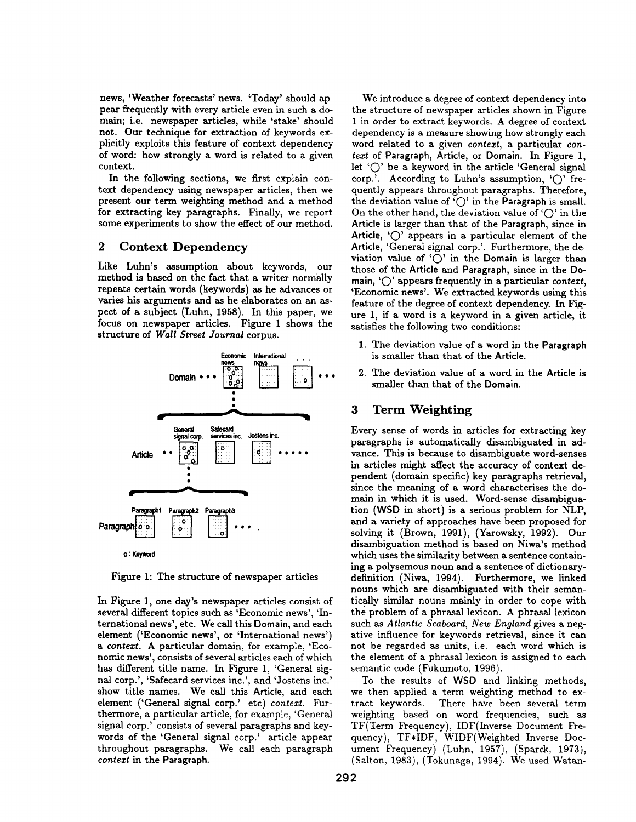news, 'Weather forecasts' news. 'Today' should appear frequently with every article even in such a domain; i.e. newspaper articles, while 'stake' should not. Our technique for extraction of keywords explicitly exploits this feature of context dependency of word: how strongly a word is related to a given context.

In the following sections, we first explain context dependency using newspaper articles, then we present our term weighting method and a method for extracting key paragraphs. Finally, we report some experiments to show the effect of our method.

# 2 Context Dependency

Like Luhn's assumption about keywords, our method is based on the fact that a writer normally repeats certain words (keywords) as he advances or varies his arguments and as he elaborates on an aspect of a subject (Luhn, 1958). In this paper, we focus on newspaper articles. Figure 1 shows the structure of *Wall Street Journal* corpus.



Figure 1: The structure of newspaper articles

In Figure 1, one day's newspaper articles consist of several different topics such as 'Economic news', 'International news', etc. We call this Domain, and each element ('Economic news', or 'International news') *a context.* A particular domain, for example, 'Economic news', consists of several articles each of which has different title name. In Figure 1, 'General signal corp.', 'Safecard services inc.', and 'Jostens inc.' show title names. We call this Article, and each element ('General signal corp.' etc) *context.* Furthermore, a particular article, for example, 'General signal corp.' consists of several paragraphs and keywords of the 'General signal corp.' article appear throughout paragraphs. We call each paragraph *context in* the Paragraph.

We introduce a degree of context dependency into the structure of newspaper articles shown in Figure 1 in order to extract keywords. A degree of context dependency is a measure showing how strongly each word related to a given *context,* a particular *context* of Paragraph, Article, or Domain. In Figure 1, let ' $\bigcirc$ ' be a keyword in the article 'General signal corp.'. According to Luhn's assumption,  $\langle \bigcirc \rangle$  frequently appears throughout paragraphs. Therefore, the deviation value of ' $\bigcirc$ ' in the Paragraph is small. On the other hand, the deviation value of ' $\bigcap$ ' in the Article is larger than that of the Paragraph, since in Article,  $\langle \bigcirc \rangle$  appears in a particular element of the Article, 'General signal corp.'. Furthermore, the deviation value of ' $\bigcirc$ ' in the Domain is larger than those of the Article and Paragraph, since in the Domain, 'O' appears frequently in a particular *context,*  'Economic news'. We extracted keywords using this feature of the degree of context dependency. In Figure 1, if a word is a keyword in a given article, it satisfies the following two conditions:

- 1. The deviation value of a word in the **Paragraph**  is smaller than that of the Article.
- 2. The deviation value of a word in the Article is smaller than that of the **Domain.**

# 3 Term Weighting

Every sense of words in articles for extracting key paragraphs is automatically disambiguated in advance. This is because to disambiguate word-senses in articles might affect the accuracy of context dependent (domain specific) key paragraphs retrieval, since the meaning of a word characterises the domain in which it is used. Word-sense disambiguation (WSD in short) is a serious problem for *NLP,*  and a variety of approaches have been proposed for solving it (Brown, 1991), (Yarowsky, 1992). Our disambiguation method is based on Niwa's method which uses the similarity between a sentence containing a polysemous noun and a sentence of dictionarydefinition (Niwa, 1994). Furthermore, we linked nouns which are disambiguated with their semantically similar nouns mainly in order to cope with the problem of a phrasal lexicon. A phrasal lexicon such as *Atlantic Seaboard, New England* gives a negative influence for keywords retrieval, since it can not be regarded as units, i.e. each word which is the element of a phrasal lexicon is assigned to each semantic code (Fukumoto, 1996).

To the results of WSD and linking methods, we then applied a term weighting method to extract keywords. There have been several term weighting based on word frequencies, such as TF(Term Frequency), IDF(Inverse Document Frequency), TF\*IDF, WIDF(Weighted Inverse Document Frequency) (Luhn, 1957), (Sparck, 1973), (Salton, 1983), (Tokunaga, 1994). We used Watan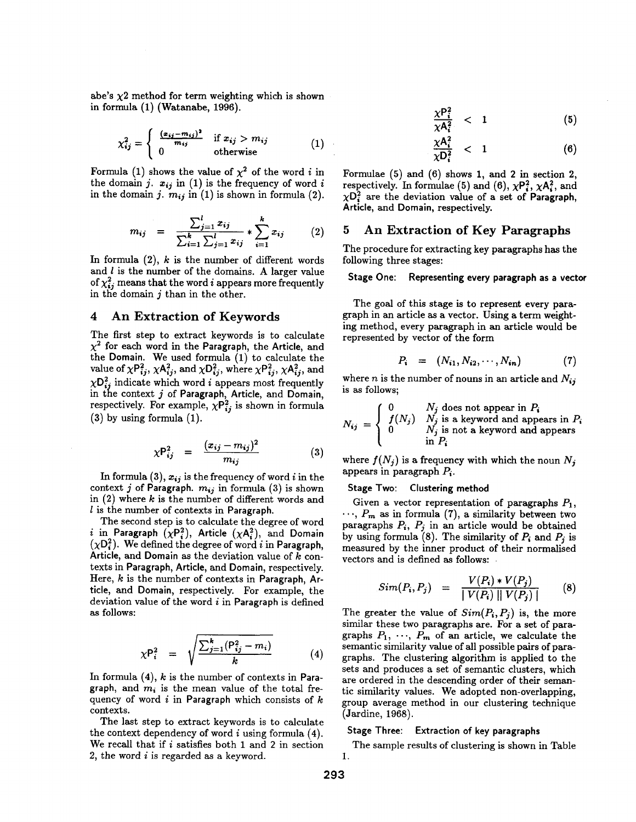abe's  $\chi$ 2 method for term weighting which is shown in formula (1) (Watanabe, 1996).

$$
\chi_{ij}^2 = \begin{cases} \frac{(z_{ij} - m_{ij})^2}{m_{ij}} & \text{if } x_{ij} > m_{ij} \\ 0 & \text{otherwise} \end{cases}
$$
 (1)

Formula (1) shows the value of  $\chi^2$  of the word *i* in the domain j.  $x_{ij}$  in (1) is the frequency of word i in the domain j.  $m_{ij}$  in (1) is shown in formula (2).

$$
m_{ij} = \frac{\sum_{j=1}^{l} x_{ij}}{\sum_{i=1}^{k} \sum_{j=1}^{l} x_{ij}} * \sum_{i=1}^{k} x_{ij}
$$
 (2)

In formula  $(2)$ , k is the number of different words and  $l$  is the number of the domains. A larger value of  $\chi_{ij}^2$  means that the word i appears more frequently in the domain  $j$  than in the other.

# **4 An Extraction of** Keywords

The first step to extract keywords is to calculate  $\chi^2$  for each word in the Paragraph, the Article, and the Domain. We used formula (1) to calculate the value of  $\chi P_{ij}^2$ ,  $\chi A_{ij}^2$ , and  $\chi D_{ij}^2$ , where  $\chi P_{ij}^2$ ,  $\chi A_{ij}^2$ , and  $\chi \mathsf{D}_{ij}^2$  indicate which word i appears most frequently in the context  $j$  of Paragraph, Article, and Domain, respectively. For example,  $\chi P_{ij}^2$  is shown in formula (3) by using formula (1).

$$
\chi P_{ij}^2 = \frac{(x_{ij} - m_{ij})^2}{m_{ij}} \tag{3}
$$

In formula (3),  $x_{ij}$  is the frequency of word i in the context j of Paragraph.  $m_{ij}$  in formula (3) is shown in  $(2)$  where k is the number of different words and  $l$  is the number of contexts in Paragraph.

The second step is to calculate the degree of word i in Paragraph  $(\chi P_i^2)$ , Article  $(\chi A_i^2)$ , and Domain  $(\chi D_i^2)$ . We defined the degree of word i in Paragraph, **Article,** and Domain as the deviation value of k contexts in Paragraph, Article, and Domain, respectively. Here,  $k$  is the number of contexts in Paragraph, Article, and Domain, respectively. For example, the deviation value of the word  $i$  in Paragraph is defined as follows:

$$
\chi P_i^2 = \sqrt{\frac{\sum_{j=1}^k (P_{ij}^2 - m_i)}{k}} \tag{4}
$$

In formula  $(4)$ ,  $k$  is the number of contexts in Paragraph, and  $m_i$  is the mean value of the total frequency of word  $i$  in Paragraph which consists of  $k$ contexts.

The last step to extract keywords is to calculate the context dependency of word  $i$  using formula  $(4)$ . We recall that if  $i$  satisfies both 1 and 2 in section 2, the word i is regarded as a keyword.

$$
\frac{\chi P_i^2}{\chi A_i^2} \quad < \quad 1 \tag{5}
$$

$$
\frac{\chi A_i^2}{\chi D_i^2} \quad < \quad 1 \tag{6}
$$

Formulae  $(5)$  and  $(6)$  shows 1, and 2 in section 2, respectively. In formulae (5) and (6),  $\chi P_i^2$ ,  $\chi A_i^2$ , and  $\chi$ D<sub>i</sub> are the deviation value of a set of Paragraph, Article, and Domain, respectively.

# **5 An Extraction of** Key Paragraphs

The procedure for extracting key paragraphs has the following three stages:

#### **Stage One: Representing every paragraph as a vector**

The goal of this stage is to represent every paragraph in an article as a vector. Using a term weightmg method, every paragraph in an article would be represented by vector of the form

$$
P_i = (N_{i1}, N_{i2}, \cdots, N_{in}) \tag{7}
$$

where *n* is the number of nouns in an article and  $N_{ij}$ is as follows;

$$
N_{ij} = \begin{cases} 0 & N_j \text{ does not appear in } P_i \\ f(N_j) & N_j \text{ is a keyword and appears in } P_i \\ 0 & N_j \text{ is not a keyword and appears} \\ & \text{in } P_i \end{cases}
$$

where  $f(N_i)$  is a frequency with which the noun  $N_i$ appears in paragraph  $P_i$ .

#### **Stage Two: Clustering method**

Given a vector representation of paragraphs  $P_1$ ,  $\cdots$ ,  $P_m$  as in formula (7), a similarity between two paragraphs  $P_i$ ,  $P_j$  in an article would be obtained by using formula (8). The similarity of  $P_i$  and  $P_j$  is measured by the inner product of their normalised vectors and is defined as follows:

$$
Sim(P_i, P_j) = \frac{V(P_i) * V(P_j)}{|V(P_i)||V(P_j)|}
$$
 (8)

The greater the value of  $Sim(P_i, P_j)$  is, the more similar these two paragraphs are. For a set of paragraphs  $P_1$ ,  $\cdots$ ,  $P_m$  of an article, we calculate the semantic similarity value of all possible pairs of paragraphs. The clustering algorithm is applied to the sets and produces a set of semantic clusters, which are ordered in the descending order of their semantic similarity values. We adopted non-overlapping, group average method in our clustering technique (Jardine, 1968).

#### **Stage Three: Extraction of key paragraphs**

The sample results of clustering is shown in Table 1.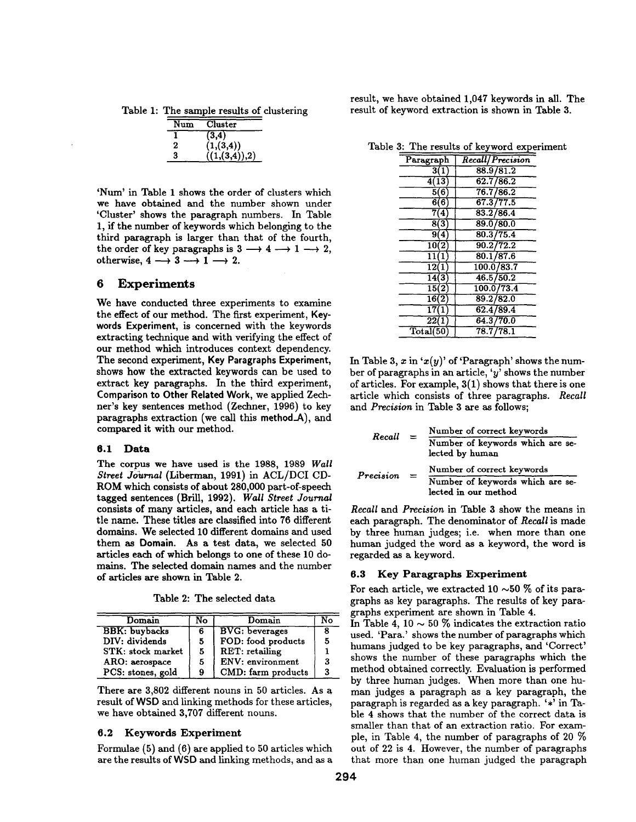Table 1: The sample results of clustering

| Num | Cluster      |
|-----|--------------|
|     | (3, 4)       |
| 2   | (1, (3,4))   |
| 3   | (1.(3,4)),2) |

'Num' in Table 1 shows the order of clusters which we have obtained and the number shown under 'Cluster' shows the paragraph numbers. In Table 1, if the number of keywords which belonging to the third paragraph is larger than that of the fourth, the order of key paragraphs is  $3 \rightarrow 4 \rightarrow 1 \rightarrow 2$ , otherwise,  $4 \rightarrow 3 \rightarrow 1 \rightarrow 2$ .

# **6 Experiments**

We have conducted three experiments to examine the effect of our method. The first experiment, Keywords **Experiment,** is concerned with the keywords extracting technique and with verifying the effect of our method which introduces context dependency. The second experiment, Key **Paragraphs Experiment,**  shows how the extracted keywords can be used to extract key paragraphs. In the third experiment, **Comparison to Other Related** Work, we applied Zechner's key sentences method (Zechner, 1996) to key paragraphs extraction (we call this method\_A), and compared it with our method.

# **6.1 Data**

The corpus we have used is the 1988, 1989 *Wall Street Journal* (Liberman, 1991) in ACL/DCI CD-ROM which consists of about 280,000 part-of-speech tagged sentences (BriU, 1992). *Wall Street Journal*  consists of many articles, and each article has a title name. These titles are classified into 76 different domains. We selected 10 different domains and used them as Domain. As a test data, we selected 50 articles each of which belongs to one of these 10 domains. The selected domain names and the number of articles are shown in Table 2.

Table 2: The selected data

| Domain               | No | Domain                |  |
|----------------------|----|-----------------------|--|
| <b>BBK:</b> buybacks | 6  | <b>BVG:</b> beverages |  |
| DIV: dividends       | 5  | FOD: food products    |  |
| STK: stock market    | 5  | RET: retailing        |  |
| ARO: aerospace       | 5  | ENV: environment      |  |
| PCS: stones, gold    | 9  | CMD: farm products    |  |

There are 3,802 different nouns in 50 articles. As a result of WSD and linking methods for these articles, we have obtained 3,707 different nouns.

# **6.2 Keywords Experiment**

Formulae (5) and (6) are applied to 50 articles which are the results of WSD and linking methods, and as a result, we have obtained 1,047 keywords in all. The result of keyword extraction is shown in Table 3.

Table 3: The results of keyword experiment

| Paragraph          | <b>Recall/Precision</b> |
|--------------------|-------------------------|
| 3(1)               | 88.9/81.2               |
| $\overline{4(13)}$ | 62.7/86.2               |
| 5(6)               | 76.7/86.2               |
| 6(6                | 67.3/77.5               |
| 7(4)               | 83.2/86.4               |
| 8(3)               | 89.0/80.0               |
| 9(4)               | 80.3/75.4               |
| 10(2)              | 90.2/72.2               |
| 11(1)              | 80.1/87.6               |
| $\overline{12(1)}$ | 100.0/83.7              |
| $\overline{14(3)}$ | 46.5/50.2               |
| $\overline{15(2)}$ | 100.0/73.4              |
| $\overline{16(2)}$ | 89.2/82.0               |
| $\overline{17(1)}$ | 62.4/89.4               |
| $\overline{22}(1)$ | 64.3/70.0               |
| Total(50)          | 78.7/78.1               |

In Table 3, x in ' $x(y)$ ' of 'Paragraph' shows the number of paragraphs in an article, ' $y$ ' shows the number of articles. For example, 3(1) shows that there is one article which consists of three paragraphs. *Recall*  and *Precision* in Table 3 are as follows;

|                          |     | Number of correct keywords                               |
|--------------------------|-----|----------------------------------------------------------|
| Recall                   |     | Number of keywords which are se-<br>lected by human      |
|                          |     | Number of correct keywords                               |
| $\boldsymbol{Precision}$ | $=$ | Number of keywords which are se-<br>lected in our method |

*Recall* and *Precision* in Table 3 show the means in each paragraph. The denominator of *Recall* is made by three human judges; i.e. when more than one human judged the word as a keyword, the word is regarded as a keyword.

# **6.3 Key Paragraphs Experiment**

For each article, we extracted 10  $\sim$  50 % of its paragraphs as key paragraphs. The results of key paragraphs experiment are shown in Table 4.

In Table 4, 10  $\sim$  50 % indicates the extraction ratio used. 'Para.' shows the number of paragraphs which humans judged to be key paragraphs, and 'Correct' shows the number of these paragraphs which the method obtained correctly. Evaluation is performed by three human judges. When more than one human judges a paragraph as a key paragraph, the paragraph is regarded as a key paragraph. '\*' in Table 4 shows that the number of the correct data is smaller than that of an extraction ratio. For example, in Table 4, the number of paragraphs of 20 % out of 22 is 4. However, the number of paragraphs that more than one human judged the paragraph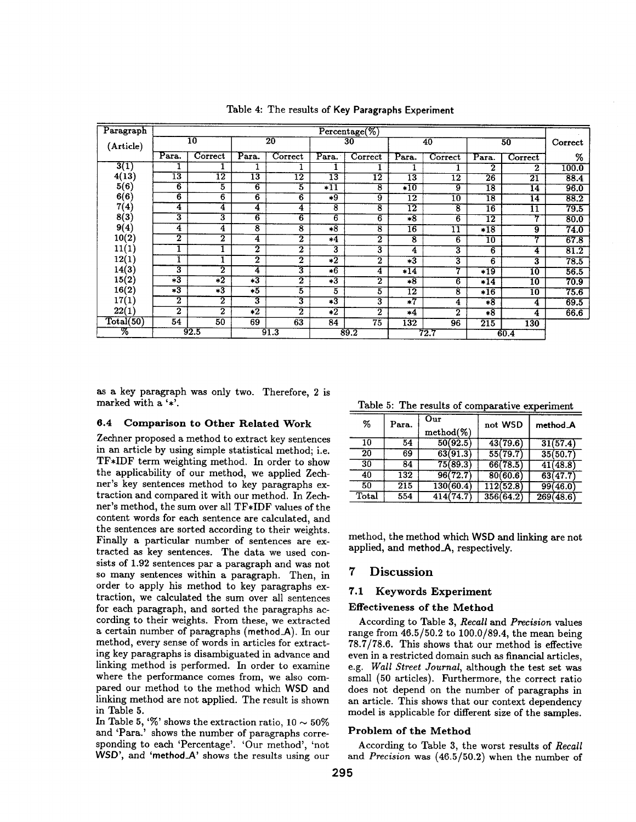| Paragraph |                         |                         |                     |                    |                 | $Percentage (\%)$ |                     |                 |                     |                            |         |
|-----------|-------------------------|-------------------------|---------------------|--------------------|-----------------|-------------------|---------------------|-----------------|---------------------|----------------------------|---------|
| (Article) |                         | $\overline{10}$         |                     | $\overline{20}$    |                 | 30                |                     | 40              |                     | 50                         | Correct |
|           | Para.                   | Correct                 | Para.               | Correct            | Para.           | Correct           | Para.               | Correct         | Para.               | Correct                    | %       |
| 3(1)      |                         |                         |                     |                    |                 |                   |                     |                 | $\overline{2}$      | $\mathbf 2$                | 100.0   |
| 4(13)     | $\overline{13}$         | $\overline{12}$         | 13                  | $\overline{12}$    | $\overline{13}$ | $\overline{12}$   | $\overline{13}$     | $\overline{12}$ | $\overline{26}$     | $\overline{2}\overline{1}$ | 88.4    |
| 5(6)      | 6                       | 5                       | 6                   | 5                  | $*11$           | 8                 | $*10$               | $\overline{9}$  | $\overline{18}$     | $\overline{14}$            | 96.0    |
| 6(6)      | $\overline{6}$          | 6                       | $6\overline{6}$     | 6                  | $*9$            | $\overline{9}$    | $\overline{12}$     | 10              | $\overline{18}$     | 14                         | 88.2    |
| 7(4)      | 4                       | 4                       | 4                   | 4                  | 8               | 8                 | $\overline{12}$     | 8               | $\overline{16}$     | 11                         | 79.5    |
| 8(3)      | 3                       | 3                       | $6\overline{6}$     | 6                  | $6\overline{6}$ | 6                 | $*8$                | 6               | 12                  | 7                          | 80.0    |
| 9(4)      | 4                       | 4                       | 8                   | $\overline{\bf 8}$ | $*8$            | 8                 | 16                  | 11              | $*18$               | 9                          | 74.0    |
| 10(2)     | 2                       | $\overline{\mathbf{2}}$ | 4                   | $\overline{2}$     | $*4$            | 2                 | 8                   | $6\overline{6}$ | $\overline{10}$     | 77                         | 67.8    |
| 11(1)     |                         |                         | 2                   | $\overline{2}$     | 3               | 3                 | 4                   | 3               | $6\overline{6}$     | 4                          | 81.2    |
| 12(1)     |                         |                         | $\overline{2}$      | $\overline{2}$     | $*2$            | $\overline{2}$    | $\overline{+3}$     | 3               | 6                   | 3                          | 78.5    |
| 14(3)     | 3                       | $\overline{2}$          | 4                   | 3                  | $*6$            | 4                 | $*14$               |                 | $\overline{^{*19}}$ | 10                         | 56.5    |
| 15(2)     | $\overline{*3}$         | $\overline{2}$          | $\overline{3}$      | 2                  | $*3$            | 2                 | $*8$                | 6               | $*14$               | 10                         | 70.9    |
| 16(2)     | $*3$                    | $*3$                    | $*5$                | 5                  | 5               | 5                 | $\overline{12}$     | 8               | $*16$               | 10                         | 75.6    |
| 17(1)     | $\overline{\mathbf{2}}$ | $\overline{\mathbf{2}}$ | 3                   | 3                  | $*3$            | 3                 | $\overline{\ast 7}$ | 4               | $*8$                | 4                          | 69.5    |
| 22(1)     | $\overline{\mathbf{2}}$ | $\overline{2}$          | $\overline{\ast 2}$ | $\overline{2}$     | $\overline{2}$  | 2                 | $*4$                | $\overline{2}$  | $*8$                | 4                          | 66.6    |
| Total(50) | 54                      | 50                      | 69                  | 63                 | 84              | 75                | 132                 | 96              | 215                 | 130                        |         |
| ळ         |                         | 92.5                    |                     | 91.3               |                 | 89.2              |                     | 72.7            |                     | 60.4                       |         |

Table 4: The results of Key **Paragraphs Experiment** 

as a key paragraph was only two. Therefore, 2 is marked with a '\*'.

# **6.4 Comparison to Other Related Work**

Zechner proposed a method to extract key sentences in an article by using simple statistical method; i.e. TF\*IDF term weighting method. In order to show the applicability of our method, we applied Zechner's key sentences method to key paragraphs extraction and compared it with our method. In Zechner's method, the sum over all TF\*IDF values of the content words for each sentence are calculated, and the sentences are sorted according to their weights. Finally a particular number of sentences are extracted as key sentences. The data we used consists of 1.92 sentences par a paragraph and was not so many sentences within a paragraph. Then, in order to apply his method to key paragraphs extraction, we calculated the sum over all sentences for each paragraph, and sorted the paragraphs according to their weights. From these, we extracted a certain number of paragraphs (method\_A). In our method, every sense of words in articles for extracting key paragraphs is disambiguated in advance and linking method is performed. In order to examine where the performance comes from, we also compared our method to the method which WSD and linking method are not applied. The result is shown in Table 5.

In Table 5, '%' shows the extraction ratio,  $10\sim 50\%$ and 'Para.' shows the number of paragraphs corresponding to each 'Percentage'. 'Our method', 'not WSD', and 'method\_A' shows the results using our

Table 5: The results of comparative experiment

| %     | Para. | $_{\rm Our}$<br>$method(\%)$ | not WSD   | method_A  |
|-------|-------|------------------------------|-----------|-----------|
| 10    | 54    | 50(92.5)                     | 43(79.6)  | 31(57.4)  |
| 20    | 69    | 63(91.3)                     | 55(79.7)  | 35(50.7)  |
| 30    | 84    | 75(89.3)                     | 66(78.5)  | 41(48.8)  |
| 40    | 132   | 96(72.7)                     | 80(60.6)  | 63(47.7)  |
| 50    | 215   | 130(60.4)                    | 112(52.8) | 99(46.0)  |
| Total | 554   | 414(74.7)                    | 356(64.2) | 269(48.6) |

method, the method which WSD and linking are not applied, and method\_A, respectively.

# **7 Discussion**

#### **7.1 Keywords Experiment**

# **Effectiveness of the Method**

According to Table 3, *Recall* and *Precision* values range from 46.5/50.2 to 100.0/89.4, the mean being 78.7/78.6. This shows that our method is effective even in a restricted domain such as financial articles, *e.g. Wall Street Journal,* although the test set was small (50 articles). Furthermore, the correct ratio does not depend on the number of paragraphs in an article. This shows that our context dependency model is applicable for different size of the samples.

### **Problem of the Method**

According to Table 3, the worst results of *Recall*  and *Precision* was (46.5/50.2) when the number of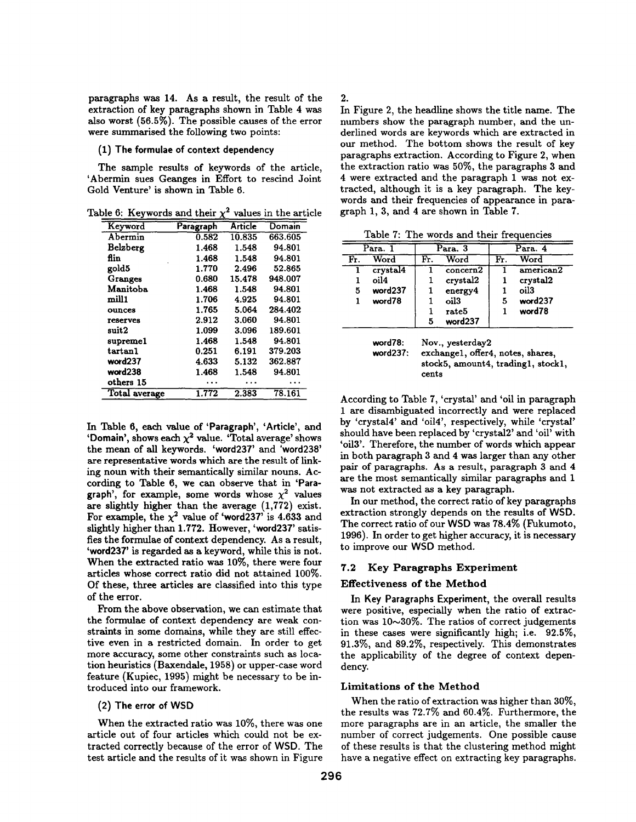paragraphs was 14. As a result, the result of the extraction of key paragraphs shown in Table 4 was also worst (56.5%). The possible causes of the error were summarised the following two points:

#### **(1) The formulae of context dependency**

The sample results of keywords of the article, 'Abermin sues Geanges in Effort to rescind Joint Gold Venture' is shown in Table 6.

Table 6: Keywords and their  $\chi^2$  values in the article

| Keyword         | Paragraph | Article | Domain  |
|-----------------|-----------|---------|---------|
| Abermin         | 0.582     | 10.835  | 663.605 |
| Belzberg        | 1.468     | 1.548   | 94.801  |
| flin            | 1.468     | 1.548   | 94.801  |
| gold5           | 1.770     | 2.496   | 52.865  |
| Granges         | 0.680     | 15.478  | 948.007 |
| Manitoba        | 1.468     | 1.548   | 94.801  |
| mill1           | 1.706     | 4.925   | 94.801  |
| ounces          | 1.765     | 5.064   | 284.402 |
| <b>reserves</b> | 2.912     | 3.060   | 94.801  |
| suit2           | 1.099     | 3.096   | 189.601 |
| supremel        | 1.468     | 1.548   | 94.801  |
| tartan1         | 0.251     | 6.191   | 379.203 |
| word237         | 4.633     | 5.132   | 362.887 |
| word238         | 1.468     | 1.548   | 94.801  |
| others 15       |           |         |         |
| Total average   | 1.772     | 2.383   | 78.161  |

In Table 6, each value of 'Paragraph', 'Article', and 'Domain', shows each  $\chi^2$  value. 'Total average' shows the mean of all keywords. 'word237' and **'word238'**  are representative words which are the result of linking noun with their semantically similar nouns. According to Table 6, we can observe that in 'Paragraph', for example, some words whose  $\chi^2$  values **are** slightly higher than the average (1,772) exist. For example, the  $\chi^2$  value of 'word237' is 4.633 and slightly higher than 1.772. However, 'word237' satisfies the formulae of context dependency. As a result, 'word237' is regarded as a keyword, while this is not. When the extracted ratio was 10%, there were four articles whose correct ratio did not attained **100%.**  Of these, three articles are classified into this type of the error.

From the above observation, we can estimate that the formulae of context dependency are weak constraints in some domains, while they are still effective even in a restricted domain. In order to get more accuracy, some other constraints such as location heuristics (Baxendale, 1958) or upper-case word feature (Kupiec, 1995) might be necessary to be introduced into our framework.

# (2) **The error of** WSD

When the extracted ratio was 10%, there was one article out of four articles which could not be extracted correctly because of the error of WSD. The test article and the results of it was shown in Figure 2.

In Figure 2, the headline shows the title name. The numbers show the paragraph number, and the underlined words are keywords which are extracted in our method. The bottom shows the result of key paragraphs extraction. According to Figure 2, when the extraction ratio was 50%, the paragraphs 3 and 4 were extracted and the paragraph 1 was not extracted, although it is a key paragraph. The keywords and their frequencies of appearance in paragraph 1, 3, and 4 are shown in Table 7.

Table 7: The words and their frequencies

|     | Para. 1  |     | Para. 3          |     | Para. 4          |
|-----|----------|-----|------------------|-----|------------------|
| Fr. | Word     | Fr. | Word             | Fr. | Word             |
|     | crystal4 |     | $\rm concern2$   |     | american2        |
|     | oil4     |     | crystal2         |     | crystal2         |
| 5   | word237  |     | energy4          |     | oil <sub>3</sub> |
|     | word78   |     | oil <sub>3</sub> | 5   | word237          |
|     |          |     | rate5            |     | word78           |
|     |          | 5   | word237          |     |                  |

| word78:      | Nov., yesterday2                   |
|--------------|------------------------------------|
| word $237$ : | exchange1, offer4, notes, shares,  |
|              | stock5, amount4, trading1, stock1, |
|              | cents                              |

According to Table 7, 'crystal' and 'oil in paragraph 1 are disambiguated incorrectly and were replaced by 'crystal4' and 'oi14', respectively, while 'crystal' should have been replaced by 'crystal2' and 'oi1' with 'oi13'. Therefore, the number of words which appear in both paragraph 3 and 4 was larger than any other pair of paragraphs. As a result, paragraph 3 and 4 are the most semantically similar paragraphs and 1 was not extracted as a key paragraph.

In our method, the correct ratio of key paragraphs extraction strongly depends on the results of WSD. The correct ratio of our WSD was 78.4% (Fukumoto, **1996).** In order to get higher accuracy, it is necessary to improve our WSD method.

# 7.2 Key **Paragraphs Experiment**

# **Effectiveness of the Method**

In Key **Paragraphs Experiment,** the overall results were positive, especially when the ratio of extraction was  $10\sim30\%$ . The ratios of correct judgements in these cases were significantly high; i.e. 92.5%, 91.3%, and 89.2%, respectively. This demonstrates the applicability of the degree of context dependency.

# **Limitations of the Method**

When the ratio of extraction was higher than 30%, the results was 72.7% and 60.4%. Furthermore, the more paragraphs are in an article, the smaller the number of correct judgements. One possible cause of these results is that the clustering method might have a negative effect on extracting key paragraphs.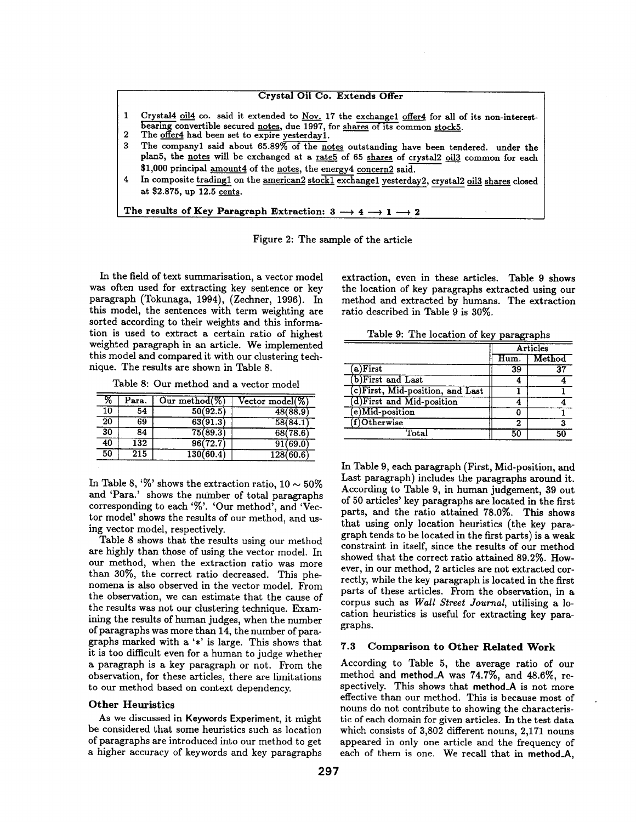#### **Crystal Oil Co. Extends Offer**

- 1 Crystal4 oil4 co. said it extended to Nov. 17 the exchangel offer4 for all of its non-interestbearing convertible secured notes, due 1997, for shares of its common stock5.
- 2 The offer4 had been set to expire yesterday1.
- 3 The companyl said about 65.89% of the notes outstanding have been **tendered, under the**  plan5, the notes will be exchanged at a rate5 of 65 shares of crystal2 oil3 common for each \$1,000 principal amount4 of the notes, the energy4 concern2 **said.**
- 4 In **composite tradingl on the** american2 stockl exchangel yesterday2, crystal2 oi13 shares closed **at \$2.875, up** 12.5 cents.

The results of Key Paragraph Extraction:  $3 \rightarrow 4 \rightarrow 1 \rightarrow 2$ 

Figure 2: The sample of the article

In the field of text summarisation, a vector model was often used for extracting key sentence or key paragraph (Tokunaga, 1994), (Zechner, 1996). In this model, the sentences with term weighting are sorted according to their weights and this information is used to extract a certain ratio of highest weighted paragraph in an article. We implemented this model and compared it with our clustering technique. The results are shown in Table 8.

| Table 8: Our method and a vector model |  |  |  |
|----------------------------------------|--|--|--|
|----------------------------------------|--|--|--|

| %  | Para.            | Our method $(\%)$ | $\overline{\text{Vector model}(\%)}$ |           |
|----|------------------|-------------------|--------------------------------------|-----------|
| 10 | 54               | 50(92.5)          |                                      | 48(88.9)  |
| 20 | 69               | 63(91.3)          |                                      | 58(84.1)  |
| 30 | 84               | 75(89.3)          |                                      | 68(78.6)  |
| 40 | 132              | 96(72.7)          |                                      | 91(69.0)  |
| 50 | $\overline{215}$ | 130(60.4)         |                                      | 128(60.6) |

In Table 8, '%' shows the extraction ratio,  $10 \sim 50\%$ and 'Para.' shows the number of total paragraphs corresponding to each '%'. 'Our method', and 'Vector model' shows the results of our method, and using vector model, respectively.

Table 8 shows that the results using our method are highly than those of using the vector model. In our method, when the extraction ratio was more than 30%, the correct ratio decreased. This phenomena is also observed in the vector model. From the observation, we can estimate that the cause of the results was not our clustering technique. Examining the results of human judges, when the number of paragraphs was more than 14, the number of paragraphs marked with a '\*' is large. This shows that it is too difficult even for a human to judge whether a paragraph is a key paragraph or not. From the observation, for these articles, there are limitations to our method based on context dependency.

#### **Other Heuristics**

As we discussed in **Keywords Experiment,** it might be considered that some heuristics such as location of paragraphs are introduced into our method to get a higher accuracy of keywords and key paragraphs extraction, even in these articles. Table 9 shows the location of key paragraphs extracted using our method and extracted by humans. The extraction ratio described in Table 9 is 30%.

Table 9: The location of key paragraphs

|                                  | Articles |        |  |
|----------------------------------|----------|--------|--|
|                                  | Hum.     | Method |  |
| (a) First                        | 39       | 37     |  |
| (b)First and Last                |          |        |  |
| (c)First, Mid-position, and Last |          |        |  |
| (d)First and Mid-position        |          |        |  |
| $(e)$ Mid-position               |          |        |  |
| (f)Otherwise                     |          |        |  |
| $\text{{\bf Total}}$             | 50       | 50     |  |

In Table 9, each paragraph (First, Mid-position, and Last paragraph) includes the paragraphs around it. According to Table 9, in human judgement, 39 out of 50 articles' key paragraphs are located in the first parts, and the ratio attained 78.0%. This shows that using only location heuristics (the key paragraph tends to be located in the first parts) is a weak constraint in itself, since the results of our method showed that the correct ratio attained 89.2%. However, in our method, 2 articles are not extracted correctly, while the key paragraph is located in the first parts of these articles. From the observation, in a corpus such as *Wall Street Journal,* utilising a location heuristics is useful for extracting key paragraphs.

#### **7.3 Comparison to Other Related Work**

According to Table 5, the average ratio of our method and method\_A was 74.7%, and 48.6%, respectively. This shows that method\_A is not more effective than our method. This is because most of nouns do not contribute to showing the characteristic of each domain for given articles. In the test data which consists of 3,802 different nouns, 2,171 nouns appeared in only one article and the frequency of each of them is one. We recall that in **method\_A,**